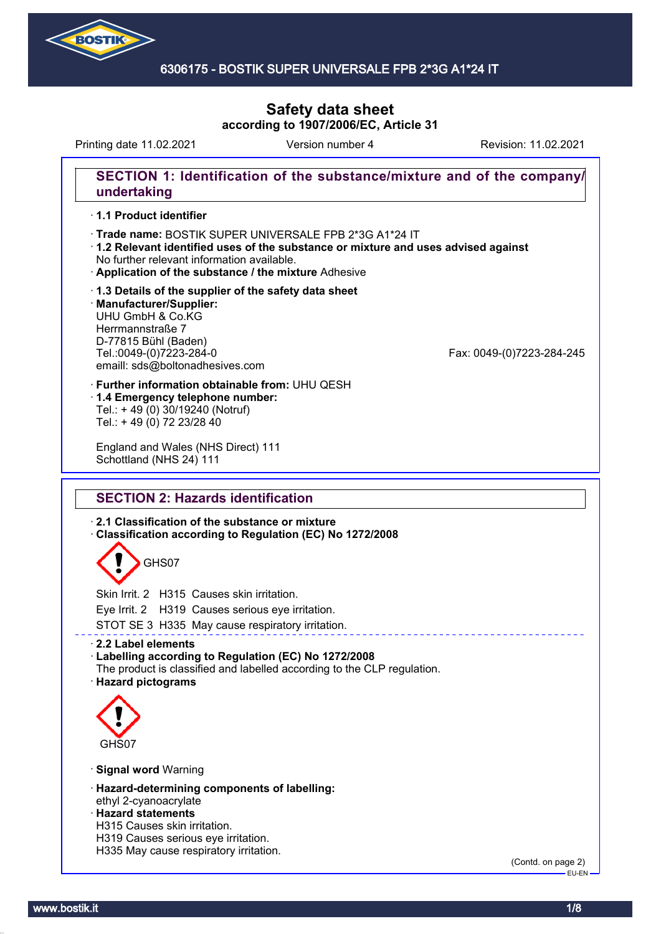

# 6306175 - BOSTIK SUPER UNIVERSALE FPB 2\*3G A1\*24 IT

# **Safety data sheet according to 1907/2006/EC, Article 31**

Printing date 11.02.2021 **Revision: 11.02.2021** Version number 4 Revision: 11.02.2021

## **SECTION 1: Identification of the substance/mixture and of the company/ undertaking**

#### · **1.1 Product identifier**

- · Trade name: BOSTIK SUPER UNIVERSALE FPB 2\*3G A1\*24 IT
- · **1.2 Relevant identified uses of the substance or mixture and uses advised against** No further relevant information available.
- · **Application of the substance / the mixture** Adhesive
- · **1.3 Details of the supplier of the safety data sheet** · **Manufacturer/Supplier:** UHU GmbH & Co.KG Herrmannstraße 7 D-77815 Bühl (Baden)<br>Tel.:0049-(0)7223-284-0 emaill: sds@boltonadhesives.com

Fax: 0049-(0)7223-284-245

- · **Further information obtainable from:** UHU QESH · **1.4 Emergency telephone number:**
- Tel.: + 49 (0) 30/19240 (Notruf) Tel.: + 49 (0) 72 23/28 40

England and Wales (NHS Direct) 111 Schottland (NHS 24) 111

# **SECTION 2: Hazards identification**

· **2.1 Classification of the substance or mixture**

· **Classification according to Regulation (EC) No 1272/2008**

# GHS07

Skin Irrit. 2 H315 Causes skin irritation.

Eye Irrit. 2 H319 Causes serious eye irritation.

STOT SE 3 H335 May cause respiratory irritation.

#### · **2.2 Label elements**

#### · **Labelling according to Regulation (EC) No 1272/2008**

The product is classified and labelled according to the CLP regulation. · **Hazard pictograms**



#### · **Signal word** Warning

- · **Hazard-determining components of labelling:** ethyl 2-cyanoacrylate
- · **Hazard statements**
- H315 Causes skin irritation.
- H319 Causes serious eye irritation.
- H335 May cause respiratory irritation.

(Contd. on page 2) EU-EN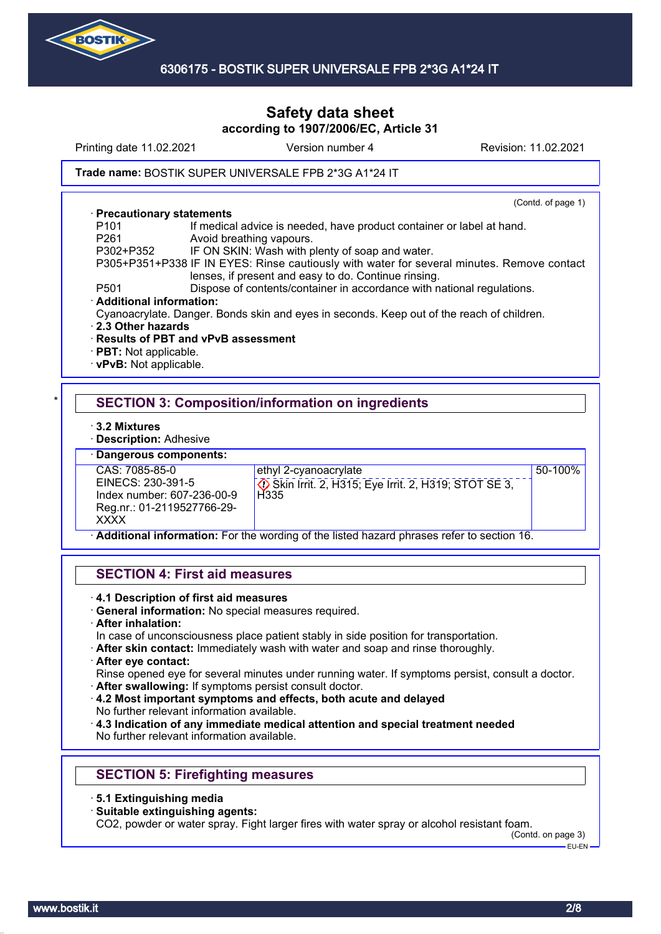

Printing date 11.02.2021 **Version number 4** Revision: 11.02.2021

#### Trade name: BOSTIK SUPER UNIVERSALE FPB 2\*3G A1\*24 IT

#### · **Precautionary statements**

(Contd. of page 1)

- P101 If medical advice is needed, have product container or label at hand.<br>P261 Mooid breathing vapours Avoid breathing vapours. P302+P352 IF ON SKIN: Wash with plenty of soap and water.
- P305+P351+P338 IF IN EYES: Rinse cautiously with water for several minutes. Remove contact lenses, if present and easy to do. Continue rinsing.
- P501 Dispose of contents/container in accordance with national regulations.
- · **Additional information:**
- Cyanoacrylate. Danger. Bonds skin and eyes in seconds. Keep out of the reach of children.
- · **2.3 Other hazards**
- · **Results of PBT and vPvB assessment**
- · **PBT:** Not applicable.
- · **vPvB:** Not applicable.

# **SECTION 3: Composition/information on ingredients**

· **3.2 Mixtures**

· **Description:** Adhesive

#### · **Dangerous components:**

CAS: 7085-85-0 EINECS: 230-391-5 Index number: 607-236-00-9 Reg.nr.: 01-2119527766-29- **XXXX** 

ethyl 2-cyanoacrylate

 Skin Irrit. 2, H315; Eye Irrit. 2, H319; STOT SE 3, H<sub>335</sub>

50-100%

· **Additional information:** For the wording of the listed hazard phrases refer to section 16.

# **SECTION 4: First aid measures**

- · **4.1 Description of first aid measures**
- · **General information:** No special measures required.
- · **After inhalation:**

In case of unconsciousness place patient stably in side position for transportation.

· **After skin contact:** Immediately wash with water and soap and rinse thoroughly.

#### · **After eye contact:**

Rinse opened eye for several minutes under running water. If symptoms persist, consult a doctor.

- · **After swallowing:** If symptoms persist consult doctor.
- · **4.2 Most important symptoms and effects, both acute and delayed** No further relevant information available.

· **4.3 Indication of any immediate medical attention and special treatment needed** No further relevant information available.

# **SECTION 5: Firefighting measures**

- · **5.1 Extinguishing media**
- · **Suitable extinguishing agents:**

CO2, powder or water spray. Fight larger fires with water spray or alcohol resistant foam.

(Contd. on page 3) EU-EN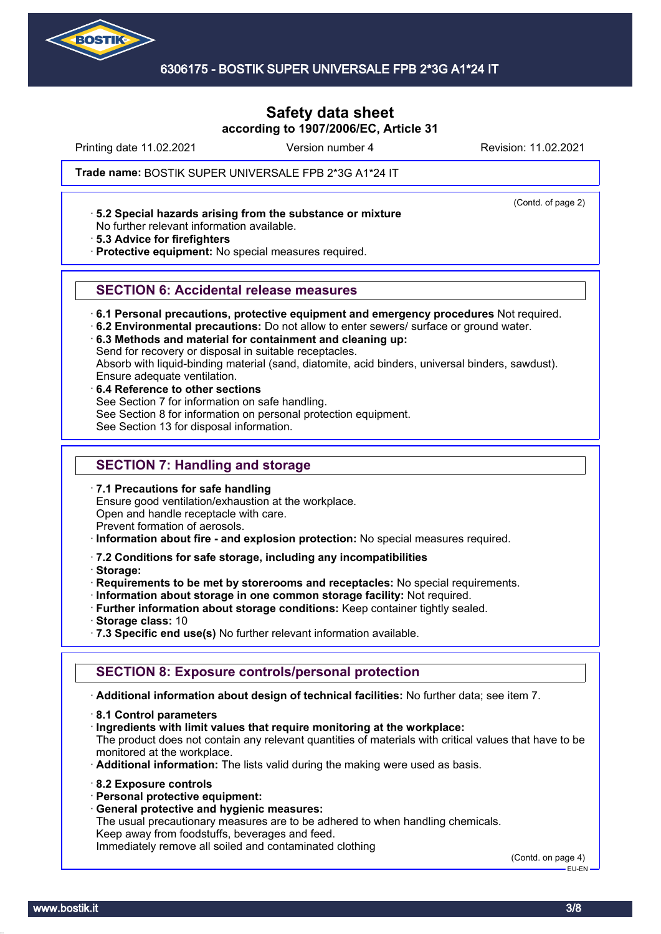

Printing date 11.02.2021 **Version number 4** Revision: 11.02.2021

(Contd. of page 2)

Trade name: BOSTIK SUPER UNIVERSALE FPB 2\*3G A1\*24 IT

· **5.2 Special hazards arising from the substance or mixture**

No further relevant information available.

· **5.3 Advice for firefighters**

· **Protective equipment:** No special measures required.

## **SECTION 6: Accidental release measures**

· **6.1 Personal precautions, protective equipment and emergency procedures** Not required.

· **6.2 Environmental precautions:** Do not allow to enter sewers/ surface or ground water.

· **6.3 Methods and material for containment and cleaning up:**

Send for recovery or disposal in suitable receptacles.

Absorb with liquid-binding material (sand, diatomite, acid binders, universal binders, sawdust). Ensure adequate ventilation.

· **6.4 Reference to other sections** See Section 7 for information on safe handling. See Section 8 for information on personal protection equipment. See Section 13 for disposal information.

# **SECTION 7: Handling and storage**

· **7.1 Precautions for safe handling**

Ensure good ventilation/exhaustion at the workplace. Open and handle receptacle with care.

Prevent formation of aerosols.

· **Information about fire - and explosion protection:** No special measures required.

#### · **7.2 Conditions for safe storage, including any incompatibilities**

· **Storage:**

· **Requirements to be met by storerooms and receptacles:** No special requirements.

· **Information about storage in one common storage facility:** Not required.

· **Further information about storage conditions:** Keep container tightly sealed.

- · **Storage class:** 10
- · **7.3 Specific end use(s)** No further relevant information available.

# **SECTION 8: Exposure controls/personal protection**

· **Additional information about design of technical facilities:** No further data; see item 7.

- · **8.1 Control parameters**
- · **Ingredients with limit values that require monitoring at the workplace:**

The product does not contain any relevant quantities of materials with critical values that have to be monitored at the workplace.

· **Additional information:** The lists valid during the making were used as basis.

- · **8.2 Exposure controls**
- · **Personal protective equipment:**
- · **General protective and hygienic measures:**

The usual precautionary measures are to be adhered to when handling chemicals. Keep away from foodstuffs, beverages and feed.

Immediately remove all soiled and contaminated clothing

(Contd. on page 4) EU-EN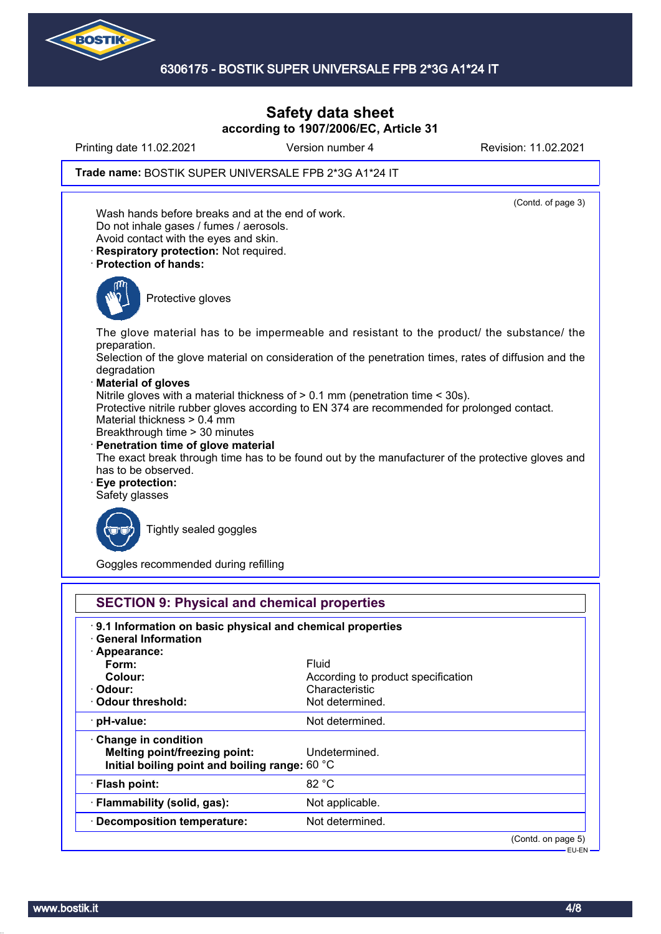

Printing date 11.02.2021 Version number 4 Revision: 11.02.2021

Trade name: BOSTIK SUPER UNIVERSALE FPB 2\*3G A1\*24 IT



Goggles recommended during refilling

| 9.1 Information on basic physical and chemical properties |                                    |  |
|-----------------------------------------------------------|------------------------------------|--|
| <b>General Information</b>                                |                                    |  |
| · Appearance:                                             |                                    |  |
| Form:                                                     | Fluid                              |  |
| Colour:                                                   | According to product specification |  |
| · Odour:                                                  | Characteristic                     |  |
| Odour threshold:                                          | Not determined.                    |  |
| · pH-value:                                               | Not determined.                    |  |
| $\cdot$ Change in condition                               |                                    |  |
| <b>Melting point/freezing point:</b>                      | Undetermined.                      |  |
| Initial boiling point and boiling range: 60 °C            |                                    |  |
| · Flash point:                                            | 82 °C                              |  |
| · Flammability (solid, gas):                              | Not applicable.                    |  |
| · Decomposition temperature:                              | Not determined.                    |  |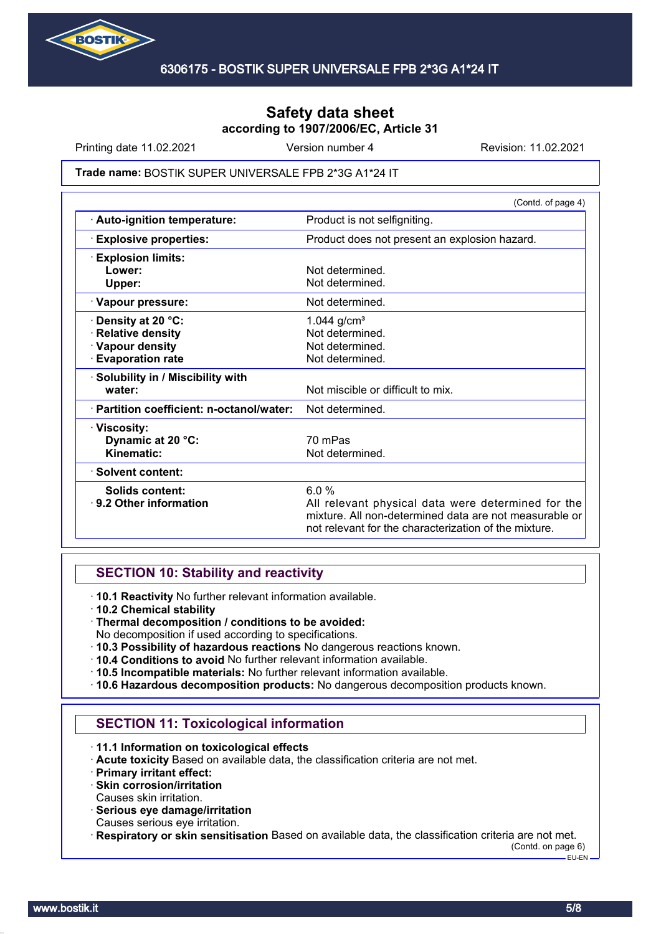

Printing date 11.02.2021 **Version number 4** Revision: 11.02.2021

#### Trade name: BOSTIK SUPER UNIVERSALE FPB 2\*3G A1\*24 IT

|                                           | (Contd. of page 4)                                                                                                                                                    |  |
|-------------------------------------------|-----------------------------------------------------------------------------------------------------------------------------------------------------------------------|--|
| · Auto-ignition temperature:              | Product is not selfigniting.                                                                                                                                          |  |
| <b>Explosive properties:</b>              | Product does not present an explosion hazard.                                                                                                                         |  |
| <b>Explosion limits:</b>                  |                                                                                                                                                                       |  |
| Lower:                                    | Not determined.                                                                                                                                                       |  |
| Upper:                                    | Not determined.                                                                                                                                                       |  |
| · Vapour pressure:                        | Not determined.                                                                                                                                                       |  |
| Density at 20 °C:                         | 1.044 $g/cm^{3}$                                                                                                                                                      |  |
| <b>Relative density</b>                   | Not determined.                                                                                                                                                       |  |
| · Vapour density                          | Not determined.                                                                                                                                                       |  |
| <b>Evaporation rate</b>                   | Not determined.                                                                                                                                                       |  |
| · Solubility in / Miscibility with        |                                                                                                                                                                       |  |
| water:                                    | Not miscible or difficult to mix.                                                                                                                                     |  |
| · Partition coefficient: n-octanol/water: | Not determined.                                                                                                                                                       |  |
| · Viscosity:                              |                                                                                                                                                                       |  |
| Dynamic at 20 °C:                         | 70 mPas                                                                                                                                                               |  |
| Kinematic:                                | Not determined.                                                                                                                                                       |  |
| · Solvent content:                        |                                                                                                                                                                       |  |
| Solids content:                           | 6.0%                                                                                                                                                                  |  |
| ⋅ 9.2 Other information                   | All relevant physical data were determined for the<br>mixture. All non-determined data are not measurable or<br>not relevant for the characterization of the mixture. |  |
|                                           |                                                                                                                                                                       |  |

#### **SECTION 10: Stability and reactivity**

· **10.1 Reactivity** No further relevant information available.

- · **10.2 Chemical stability**
- · **Thermal decomposition / conditions to be avoided:**
- No decomposition if used according to specifications.
- · **10.3 Possibility of hazardous reactions** No dangerous reactions known.
- · **10.4 Conditions to avoid** No further relevant information available.
- · **10.5 Incompatible materials:** No further relevant information available.
- · **10.6 Hazardous decomposition products:** No dangerous decomposition products known.

# **SECTION 11: Toxicological information**

- · **11.1 Information on toxicological effects**
- · **Acute toxicity** Based on available data, the classification criteria are not met.
- · **Primary irritant effect:**
- · **Skin corrosion/irritation**
- Causes skin irritation.
- · **Serious eye damage/irritation**
- Causes serious eye irritation.
- · **Respiratory or skin sensitisation** Based on available data, the classification criteria are not met.

(Contd. on page 6) EU-EN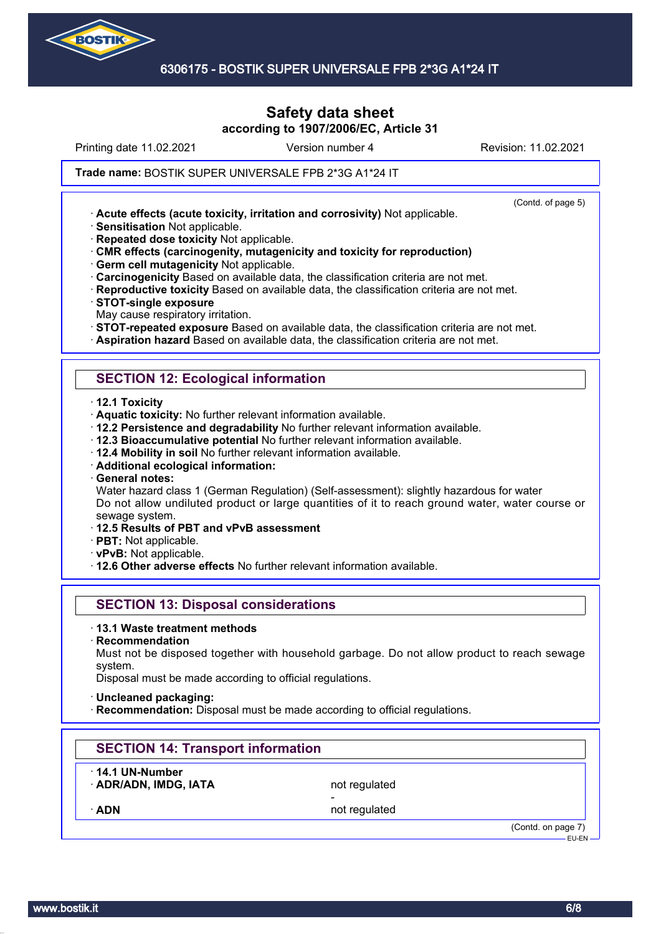

Printing date 11.02.2021 **Version number 4** Revision: 11.02.2021

(Contd. of page 5)

#### Trade name: BOSTIK SUPER UNIVERSALE FPB 2\*3G A1\*24 IT

· **Acute effects (acute toxicity, irritation and corrosivity)** Not applicable.

· **Sensitisation** Not applicable.

· **Repeated dose toxicity** Not applicable.

· **CMR effects (carcinogenity, mutagenicity and toxicity for reproduction)**

· **Germ cell mutagenicity** Not applicable.

· **Carcinogenicity** Based on available data, the classification criteria are not met.

· **Reproductive toxicity** Based on available data, the classification criteria are not met.

· **STOT-single exposure**

May cause respiratory irritation.

· **STOT-repeated exposure** Based on available data, the classification criteria are not met.

· **Aspiration hazard** Based on available data, the classification criteria are not met.

# **SECTION 12: Ecological information**

· **12.1 Toxicity**

· **Aquatic toxicity:** No further relevant information available.

· **12.2 Persistence and degradability** No further relevant information available.

· **12.3 Bioaccumulative potential** No further relevant information available.

· **12.4 Mobility in soil** No further relevant information available.

· **Additional ecological information:**

· **General notes:**

Water hazard class 1 (German Regulation) (Self-assessment): slightly hazardous for water Do not allow undiluted product or large quantities of it to reach ground water, water course or sewage system.

· **12.5 Results of PBT and vPvB assessment**

· **PBT:** Not applicable.

· **vPvB:** Not applicable.

· **12.6 Other adverse effects** No further relevant information available.

# **SECTION 13: Disposal considerations**

· **13.1 Waste treatment methods**

· **Recommendation**

Must not be disposed together with household garbage. Do not allow product to reach sewage system.

Disposal must be made according to official regulations.

· **Uncleaned packaging:**

**Recommendation:** Disposal must be made according to official regulations.

# **SECTION 14: Transport information**

· **14.1 UN-Number**

**ADR/ADN, IMDG, IATA** not regulated -

ADN **ADN** not regulated

(Contd. on page 7) EU-EN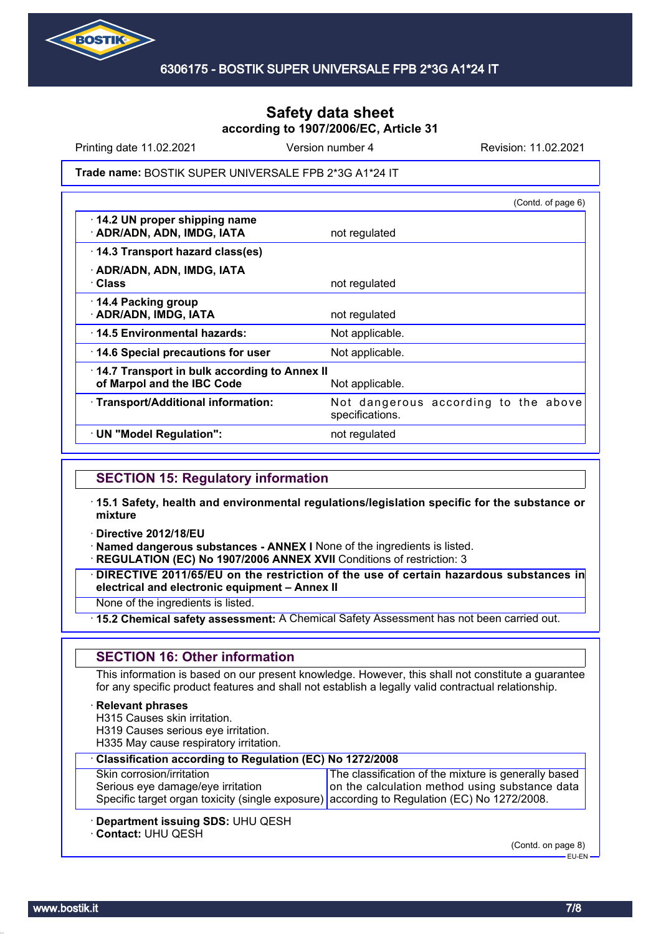

Printing date 11.02.2021 **Version number 4** Revision: 11.02.2021

Trade name: BOSTIK SUPER UNIVERSALE FPB 2\*3G A1\*24 IT

|                                                                            | (Contd. of page 6)                                      |
|----------------------------------------------------------------------------|---------------------------------------------------------|
| 14.2 UN proper shipping name<br>· ADR/ADN, ADN, IMDG, IATA                 | not regulated                                           |
| 14.3 Transport hazard class(es)                                            |                                                         |
| · ADR/ADN, ADN, IMDG, IATA<br>· Class                                      | not regulated                                           |
| 14.4 Packing group<br>· ADR/ADN, IMDG, IATA                                | not regulated                                           |
| ⋅14.5 Environmental hazards:                                               | Not applicable.                                         |
| 14.6 Special precautions for user                                          | Not applicable.                                         |
| 14.7 Transport in bulk according to Annex II<br>of Marpol and the IBC Code | Not applicable.                                         |
| · Transport/Additional information:                                        | Not dangerous according to the above<br>specifications. |
| · UN "Model Regulation":                                                   | not regulated                                           |
|                                                                            |                                                         |

## **SECTION 15: Regulatory information**

- · **15.1 Safety, health and environmental regulations/legislation specific for the substance or mixture**
- · **Directive 2012/18/EU**

· **Named dangerous substances - ANNEX I** None of the ingredients is listed.

· **REGULATION (EC) No 1907/2006 ANNEX XVII** Conditions of restriction: 3

· **DIRECTIVE 2011/65/EU on the restriction of the use of certain hazardous substances in electrical and electronic equipment – Annex II**

None of the ingredients is listed.

· **15.2 Chemical safety assessment:** A Chemical Safety Assessment has not been carried out.

# **SECTION 16: Other information**

This information is based on our present knowledge. However, this shall not constitute a guarantee for any specific product features and shall not establish a legally valid contractual relationship.

#### · **Relevant phrases**

H315 Causes skin irritation.

- H319 Causes serious eye irritation.
- H335 May cause respiratory irritation.

| Classification according to Regulation (EC) No 1272/2008                                                                         |                                                      |  |
|----------------------------------------------------------------------------------------------------------------------------------|------------------------------------------------------|--|
| Skin corrosion/irritation                                                                                                        | The classification of the mixture is generally based |  |
| Serious eye damage/eye irritation<br>Specific target organ toxicity (single exposure) according to Regulation (EC) No 1272/2008. | on the calculation method using substance data       |  |
|                                                                                                                                  |                                                      |  |

- · **Department issuing SDS:** UHU QESH
- · **Contact:** UHU QESH

(Contd. on page 8)

EU-EN